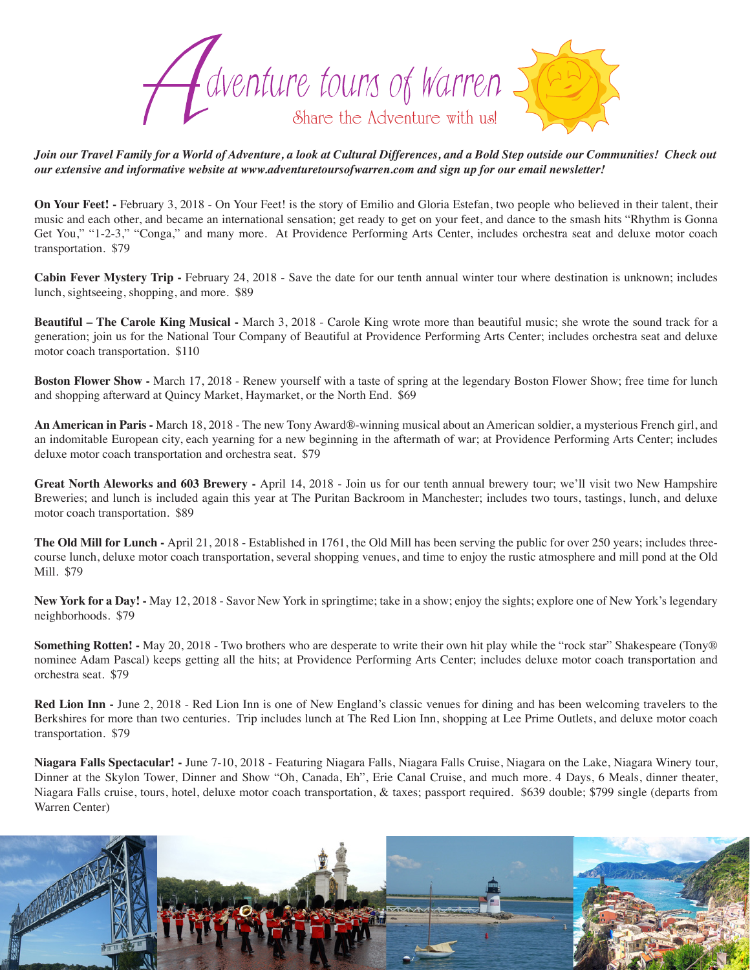

*Join our Travel Family for a World of Adventure, a look at Cultural Differences, and a Bold Step outside our Communities! Check out our extensive and informative website at www.adventuretoursofwarren.com and sign up for our email newsletter!* 

**On Your Feet! -** February 3, 2018 - On Your Feet! is the story of Emilio and Gloria Estefan, two people who believed in their talent, their music and each other, and became an international sensation; get ready to get on your feet, and dance to the smash hits "Rhythm is Gonna Get You," "1-2-3," "Conga," and many more. At Providence Performing Arts Center, includes orchestra seat and deluxe motor coach transportation. \$79

**Cabin Fever Mystery Trip -** February 24, 2018 - Save the date for our tenth annual winter tour where destination is unknown; includes lunch, sightseeing, shopping, and more. \$89

**Beautiful – The Carole King Musical -** March 3, 2018 - Carole King wrote more than beautiful music; she wrote the sound track for a generation; join us for the National Tour Company of Beautiful at Providence Performing Arts Center; includes orchestra seat and deluxe motor coach transportation. \$110

**Boston Flower Show -** March 17, 2018 - Renew yourself with a taste of spring at the legendary Boston Flower Show; free time for lunch and shopping afterward at Quincy Market, Haymarket, or the North End. \$69

**An American in Paris -** March 18, 2018 - The new Tony Award®-winning musical about an American soldier, a mysterious French girl, and an indomitable European city, each yearning for a new beginning in the aftermath of war; at Providence Performing Arts Center; includes deluxe motor coach transportation and orchestra seat. \$79

**Great North Aleworks and 603 Brewery -** April 14, 2018 - Join us for our tenth annual brewery tour; we'll visit two New Hampshire Breweries; and lunch is included again this year at The Puritan Backroom in Manchester; includes two tours, tastings, lunch, and deluxe motor coach transportation. \$89

**The Old Mill for Lunch -** April 21, 2018 - Established in 1761, the Old Mill has been serving the public for over 250 years; includes threecourse lunch, deluxe motor coach transportation, several shopping venues, and time to enjoy the rustic atmosphere and mill pond at the Old Mill. \$79

**New York for a Day! -** May 12, 2018 - Savor New York in springtime; take in a show; enjoy the sights; explore one of New York's legendary neighborhoods. \$79

**Something Rotten! -** May 20, 2018 - Two brothers who are desperate to write their own hit play while the "rock star" Shakespeare (Tony®) nominee Adam Pascal) keeps getting all the hits; at Providence Performing Arts Center; includes deluxe motor coach transportation and orchestra seat. \$79

**Red Lion Inn -** June 2, 2018 - Red Lion Inn is one of New England's classic venues for dining and has been welcoming travelers to the Berkshires for more than two centuries. Trip includes lunch at The Red Lion Inn, shopping at Lee Prime Outlets, and deluxe motor coach transportation. \$79

**Niagara Falls Spectacular! -** June 7-10, 2018 - Featuring Niagara Falls, Niagara Falls Cruise, Niagara on the Lake, Niagara Winery tour, Dinner at the Skylon Tower, Dinner and Show "Oh, Canada, Eh", Erie Canal Cruise, and much more. 4 Days, 6 Meals, dinner theater, Niagara Falls cruise, tours, hotel, deluxe motor coach transportation, & taxes; passport required. \$639 double; \$799 single (departs from Warren Center)